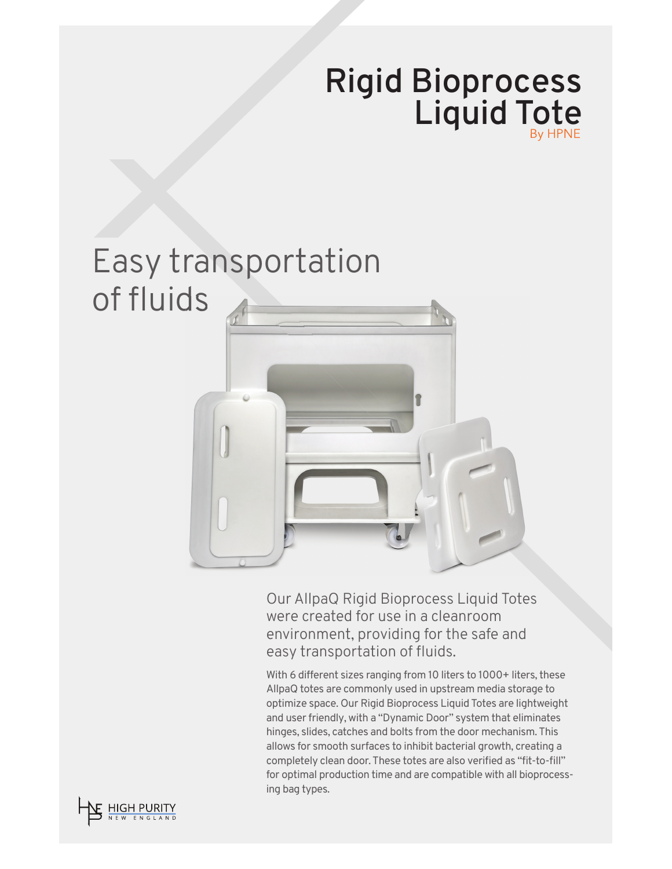## **Rigid Bioprocess Liquid Tote**

## Easy transportation of fluids

Our AllpaQ Rigid Bioprocess Liquid Totes were created for use in a cleanroom environment, providing for the safe and easy transportation of fluids.

With 6 different sizes ranging from 10 liters to 1000+ liters, these AllpaQ totes are commonly used in upstream media storage to optimize space. Our Rigid Bioprocess Liquid Totes are lightweight and user friendly, with a "Dynamic Door" system that eliminates hinges, slides, catches and bolts from the door mechanism. This allows for smooth surfaces to inhibit bacterial growth, creating a completely clean door. These totes are also verified as "fit-to-fill" for optimal production time and are compatible with all bioprocessing bag types.